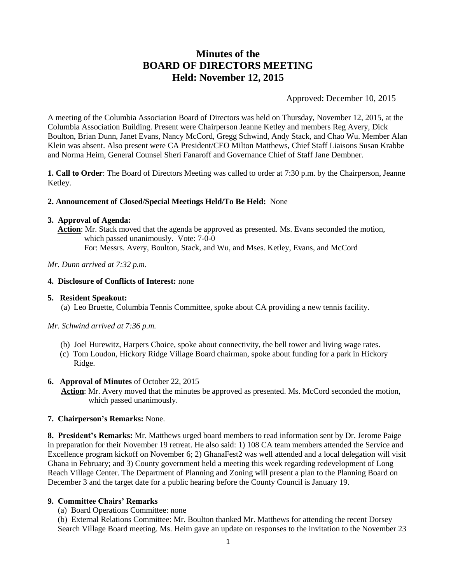# **Minutes of the BOARD OF DIRECTORS MEETING Held: November 12, 2015**

Approved: December 10, 2015

A meeting of the Columbia Association Board of Directors was held on Thursday, November 12, 2015, at the Columbia Association Building. Present were Chairperson Jeanne Ketley and members Reg Avery, Dick Boulton, Brian Dunn, Janet Evans, Nancy McCord, Gregg Schwind, Andy Stack, and Chao Wu. Member Alan Klein was absent. Also present were CA President/CEO Milton Matthews, Chief Staff Liaisons Susan Krabbe and Norma Heim, General Counsel Sheri Fanaroff and Governance Chief of Staff Jane Dembner.

**1. Call to Order**: The Board of Directors Meeting was called to order at 7:30 p.m. by the Chairperson, Jeanne Ketley.

# **2. Announcement of Closed/Special Meetings Held/To Be Held:** None

#### **3. Approval of Agenda:**

**Action**: Mr. Stack moved that the agenda be approved as presented. Ms. Evans seconded the motion, which passed unanimously. Vote: 7-0-0

For: Messrs. Avery, Boulton, Stack, and Wu, and Mses. Ketley, Evans, and McCord

# *Mr. Dunn arrived at 7:32 p.m*.

# **4. Disclosure of Conflicts of Interest:** none

# **5. Resident Speakout:**

(a) Leo Bruette, Columbia Tennis Committee, spoke about CA providing a new tennis facility.

# *Mr. Schwind arrived at 7:36 p.m.*

- (b) Joel Hurewitz, Harpers Choice, spoke about connectivity, the bell tower and living wage rates.
- (c) Tom Loudon, Hickory Ridge Village Board chairman, spoke about funding for a park in Hickory Ridge.

# **6. Approval of Minutes** of October 22, 2015

**Action**: Mr. Avery moved that the minutes be approved as presented. Ms. McCord seconded the motion, which passed unanimously.

# **7. Chairperson's Remarks:** None.

**8. President's Remarks:** Mr. Matthews urged board members to read information sent by Dr. Jerome Paige in preparation for their November 19 retreat. He also said: 1) 108 CA team members attended the Service and Excellence program kickoff on November 6; 2) GhanaFest2 was well attended and a local delegation will visit Ghana in February; and 3) County government held a meeting this week regarding redevelopment of Long Reach Village Center. The Department of Planning and Zoning will present a plan to the Planning Board on December 3 and the target date for a public hearing before the County Council is January 19.

# **9. Committee Chairs' Remarks**

(a) Board Operations Committee: none

(b) External Relations Committee: Mr. Boulton thanked Mr. Matthews for attending the recent Dorsey Search Village Board meeting. Ms. Heim gave an update on responses to the invitation to the November 23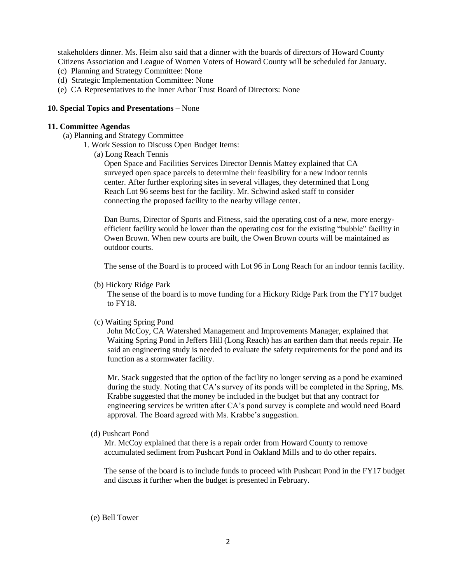stakeholders dinner. Ms. Heim also said that a dinner with the boards of directors of Howard County Citizens Association and League of Women Voters of Howard County will be scheduled for January. (c) Planning and Strategy Committee: None

- (d) Strategic Implementation Committee: None
- (e) CA Representatives to the Inner Arbor Trust Board of Directors: None

# **10. Special Topics and Presentations –** None

# **11. Committee Agendas**

- (a) Planning and Strategy Committee
	- 1. Work Session to Discuss Open Budget Items:
		- (a) Long Reach Tennis

Open Space and Facilities Services Director Dennis Mattey explained that CA surveyed open space parcels to determine their feasibility for a new indoor tennis center. After further exploring sites in several villages, they determined that Long Reach Lot 96 seems best for the facility. Mr. Schwind asked staff to consider connecting the proposed facility to the nearby village center.

Dan Burns, Director of Sports and Fitness, said the operating cost of a new, more energyefficient facility would be lower than the operating cost for the existing "bubble" facility in Owen Brown. When new courts are built, the Owen Brown courts will be maintained as outdoor courts.

The sense of the Board is to proceed with Lot 96 in Long Reach for an indoor tennis facility.

(b) Hickory Ridge Park

 The sense of the board is to move funding for a Hickory Ridge Park from the FY17 budget to FY18.

# (c) Waiting Spring Pond

John McCoy, CA Watershed Management and Improvements Manager, explained that Waiting Spring Pond in Jeffers Hill (Long Reach) has an earthen dam that needs repair. He said an engineering study is needed to evaluate the safety requirements for the pond and its function as a stormwater facility.

Mr. Stack suggested that the option of the facility no longer serving as a pond be examined during the study. Noting that CA's survey of its ponds will be completed in the Spring, Ms. Krabbe suggested that the money be included in the budget but that any contract for engineering services be written after CA's pond survey is complete and would need Board approval. The Board agreed with Ms. Krabbe's suggestion.

(d) Pushcart Pond

Mr. McCoy explained that there is a repair order from Howard County to remove accumulated sediment from Pushcart Pond in Oakland Mills and to do other repairs.

The sense of the board is to include funds to proceed with Pushcart Pond in the FY17 budget and discuss it further when the budget is presented in February.

#### (e) Bell Tower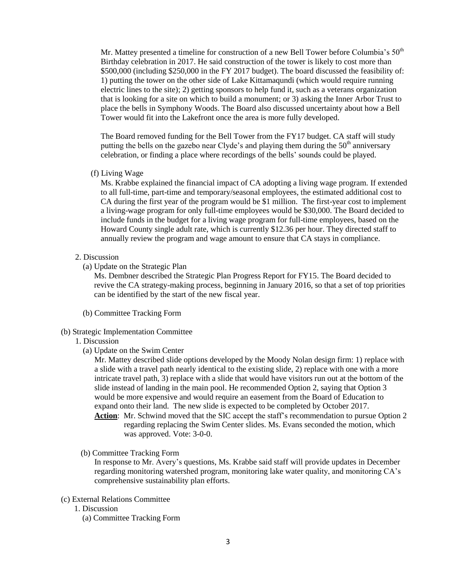Mr. Mattey presented a timeline for construction of a new Bell Tower before Columbia's 50<sup>th</sup> Birthday celebration in 2017. He said construction of the tower is likely to cost more than \$500,000 (including \$250,000 in the FY 2017 budget). The board discussed the feasibility of: 1) putting the tower on the other side of Lake Kittamaqundi (which would require running electric lines to the site); 2) getting sponsors to help fund it, such as a veterans organization that is looking for a site on which to build a monument; or 3) asking the Inner Arbor Trust to place the bells in Symphony Woods. The Board also discussed uncertainty about how a Bell Tower would fit into the Lakefront once the area is more fully developed.

The Board removed funding for the Bell Tower from the FY17 budget. CA staff will study putting the bells on the gazebo near Clyde's and playing them during the  $50<sup>th</sup>$  anniversary celebration, or finding a place where recordings of the bells' sounds could be played.

(f) Living Wage

Ms. Krabbe explained the financial impact of CA adopting a living wage program. If extended to all full-time, part-time and temporary/seasonal employees, the estimated additional cost to CA during the first year of the program would be \$1 million. The first-year cost to implement a living-wage program for only full-time employees would be \$30,000. The Board decided to include funds in the budget for a living wage program for full-time employees, based on the Howard County single adult rate, which is currently \$12.36 per hour. They directed staff to annually review the program and wage amount to ensure that CA stays in compliance.

# 2. Discussion

(a) Update on the Strategic Plan

Ms. Dembner described the Strategic Plan Progress Report for FY15. The Board decided to revive the CA strategy-making process, beginning in January 2016, so that a set of top priorities can be identified by the start of the new fiscal year.

- (b) Committee Tracking Form
- (b) Strategic Implementation Committee

# 1. Discussion

(a) Update on the Swim Center

Mr. Mattey described slide options developed by the Moody Nolan design firm: 1) replace with a slide with a travel path nearly identical to the existing slide, 2) replace with one with a more intricate travel path, 3) replace with a slide that would have visitors run out at the bottom of the slide instead of landing in the main pool. He recommended Option 2, saying that Option 3 would be more expensive and would require an easement from the Board of Education to expand onto their land. The new slide is expected to be completed by October 2017.

**Action**: Mr. Schwind moved that the SIC accept the staff's recommendation to pursue Option 2 regarding replacing the Swim Center slides. Ms. Evans seconded the motion, which was approved. Vote: 3-0-0.

(b) Committee Tracking Form

In response to Mr. Avery's questions, Ms. Krabbe said staff will provide updates in December regarding monitoring watershed program, monitoring lake water quality, and monitoring CA's comprehensive sustainability plan efforts.

- (c) External Relations Committee
	- 1. Discussion
		- (a) Committee Tracking Form